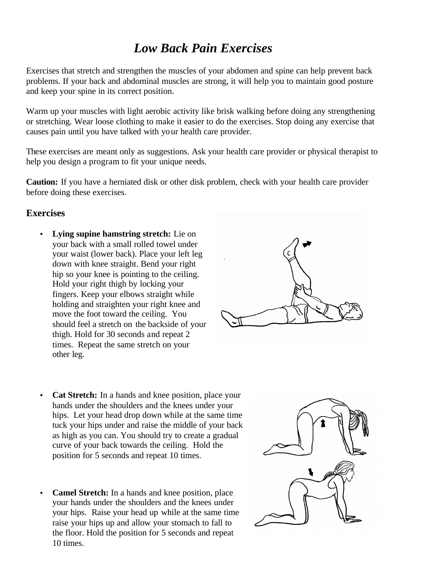# *Low Back Pain Exercises*

Exercises that stretch and strengthen the muscles of your abdomen and spine can help prevent back problems. If your back and abdominal muscles are strong, it will help you to maintain good posture and keep your spine in its correct position.

Warm up your muscles with light aerobic activity like brisk walking before doing any strengthening or stretching. Wear loose clothing to make it easier to do the exercises. Stop doing any exercise that causes pain until you have talked with your health care provider.

These exercises are meant only as suggestions. Ask your health care provider or physical therapist to help you design a program to fit your unique needs.

**Caution:** If you have a herniated disk or other disk problem, check with your health care provider before doing these exercises.

### **Exercises**

• **Lying supine hamstring stretch:** Lie on your back with a small rolled towel under your waist (lower back). Place your left leg down with knee straight. Bend your right hip so your knee is pointing to the ceiling. Hold your right thigh by locking your fingers. Keep your elbows straight while holding and straighten your right knee and move the foot toward the ceiling. You should feel a stretch on the backside of your thigh. Hold for 30 seconds and repeat 2 times. Repeat the same stretch on your other leg.



- **Cat Stretch:** In a hands and knee position, place your hands under the shoulders and the knees under your hips. Let your head drop down while at the same time tuck your hips under and raise the middle of your back as high as you can. You should try to create a gradual curve of your back towards the ceiling. Hold the position for 5 seconds and repeat 10 times.
- **Camel Stretch:** In a hands and knee position, place your hands under the shoulders and the knees under your hips. Raise your head up while at the same time raise your hips up and allow your stomach to fall to the floor. Hold the position for 5 seconds and repeat 10 times.

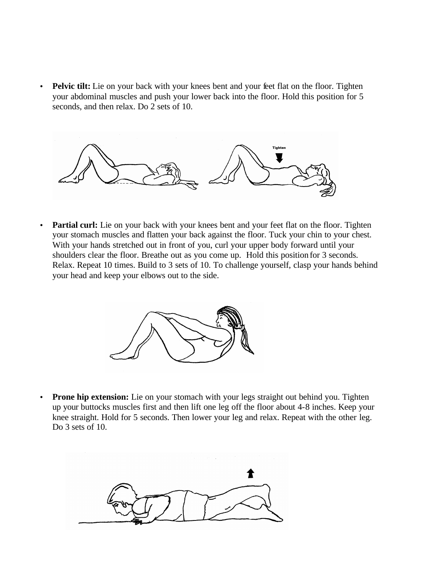• **Pelvic tilt:** Lie on your back with your knees bent and your feet flat on the floor. Tighten your abdominal muscles and push your lower back into the floor. Hold this position for 5 seconds, and then relax. Do 2 sets of 10.



**Partial curl:** Lie on your back with your knees bent and your feet flat on the floor. Tighten your stomach muscles and flatten your back against the floor. Tuck your chin to your chest. With your hands stretched out in front of you, curl your upper body forward until your shoulders clear the floor. Breathe out as you come up. Hold this position for 3 seconds. Relax. Repeat 10 times. Build to 3 sets of 10. To challenge yourself, clasp your hands behind your head and keep your elbows out to the side.



**Prone hip extension:** Lie on your stomach with your legs straight out behind you. Tighten up your buttocks muscles first and then lift one leg off the floor about 4-8 inches. Keep your knee straight. Hold for 5 seconds. Then lower your leg and relax. Repeat with the other leg. Do 3 sets of 10.